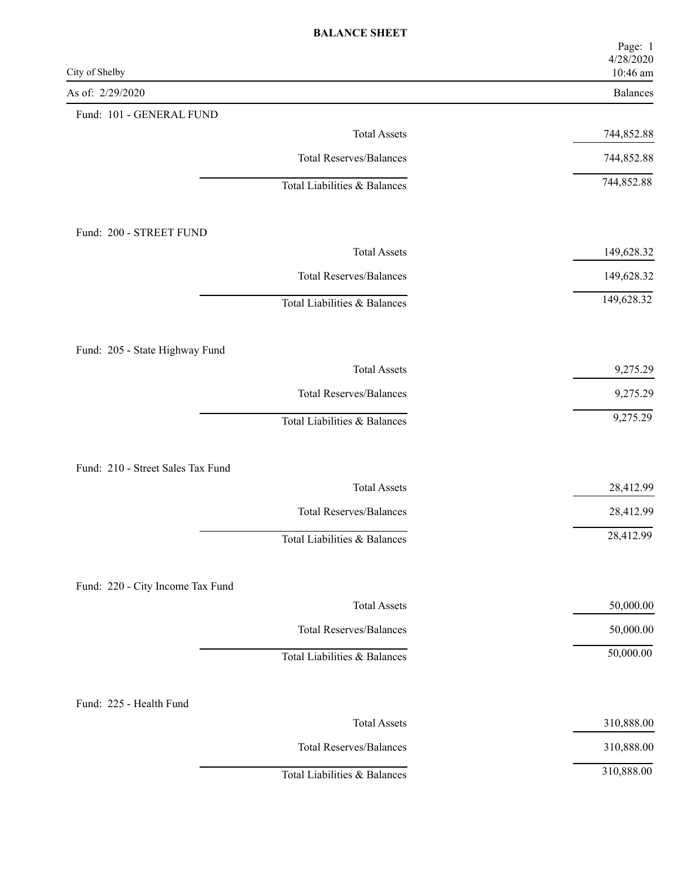| City of Shelby                    | Page: 1<br>4/28/2020<br>10:46 am |
|-----------------------------------|----------------------------------|
| As of: 2/29/2020                  | Balances                         |
| Fund: 101 - GENERAL FUND          |                                  |
| <b>Total Assets</b>               | 744,852.88                       |
| <b>Total Reserves/Balances</b>    | 744,852.88                       |
| Total Liabilities & Balances      | 744,852.88                       |
| Fund: 200 - STREET FUND           |                                  |
| <b>Total Assets</b>               | 149,628.32                       |
| <b>Total Reserves/Balances</b>    | 149,628.32                       |
| Total Liabilities & Balances      | 149,628.32                       |
| Fund: 205 - State Highway Fund    |                                  |
| <b>Total Assets</b>               | 9,275.29                         |
| <b>Total Reserves/Balances</b>    | 9,275.29                         |
| Total Liabilities & Balances      | 9,275.29                         |
| Fund: 210 - Street Sales Tax Fund |                                  |
| <b>Total Assets</b>               | 28,412.99                        |
| <b>Total Reserves/Balances</b>    | 28,412.99                        |
| Total Liabilities & Balances      | 28,412.99                        |
| Fund: 220 - City Income Tax Fund  |                                  |
| <b>Total Assets</b>               | 50,000.00                        |
| <b>Total Reserves/Balances</b>    | 50,000.00                        |
| Total Liabilities & Balances      | 50,000.00                        |
| Fund: 225 - Health Fund           |                                  |
| <b>Total Assets</b>               | 310,888.00                       |
| <b>Total Reserves/Balances</b>    | 310,888.00                       |
| Total Liabilities & Balances      | 310,888.00                       |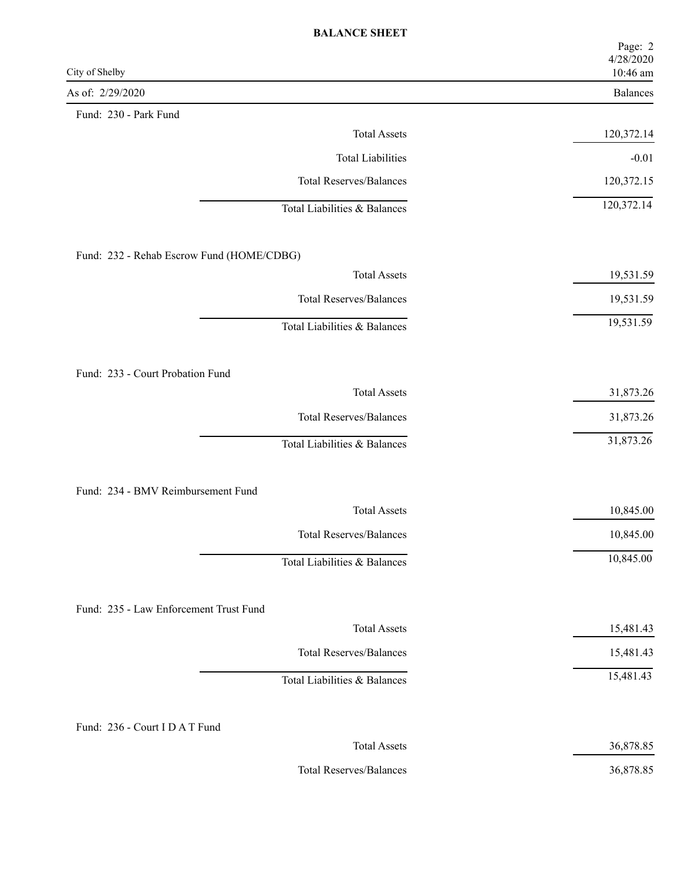| City of Shelby                            | Page: 2<br>4/28/2020<br>10:46 am |
|-------------------------------------------|----------------------------------|
| As of: 2/29/2020                          | Balances                         |
| Fund: 230 - Park Fund                     |                                  |
| <b>Total Assets</b>                       | 120,372.14                       |
| <b>Total Liabilities</b>                  | $-0.01$                          |
| <b>Total Reserves/Balances</b>            | 120,372.15                       |
| Total Liabilities & Balances              | 120,372.14                       |
| Fund: 232 - Rehab Escrow Fund (HOME/CDBG) |                                  |
| <b>Total Assets</b>                       | 19,531.59                        |
| <b>Total Reserves/Balances</b>            | 19,531.59                        |
| Total Liabilities & Balances              | 19,531.59                        |
| Fund: 233 - Court Probation Fund          |                                  |
| <b>Total Assets</b>                       | 31,873.26                        |
| <b>Total Reserves/Balances</b>            | 31,873.26                        |
| Total Liabilities & Balances              | 31,873.26                        |
| Fund: 234 - BMV Reimbursement Fund        |                                  |
| <b>Total Assets</b>                       | 10,845.00                        |
| <b>Total Reserves/Balances</b>            | 10,845.00                        |
| Total Liabilities & Balances              | 10,845.00                        |
| Fund: 235 - Law Enforcement Trust Fund    |                                  |
| <b>Total Assets</b>                       | 15,481.43                        |
| <b>Total Reserves/Balances</b>            | 15,481.43                        |
| Total Liabilities & Balances              | 15,481.43                        |
| Fund: 236 - Court I D A T Fund            |                                  |
| <b>Total Assets</b>                       | 36,878.85                        |
| <b>Total Reserves/Balances</b>            | 36,878.85                        |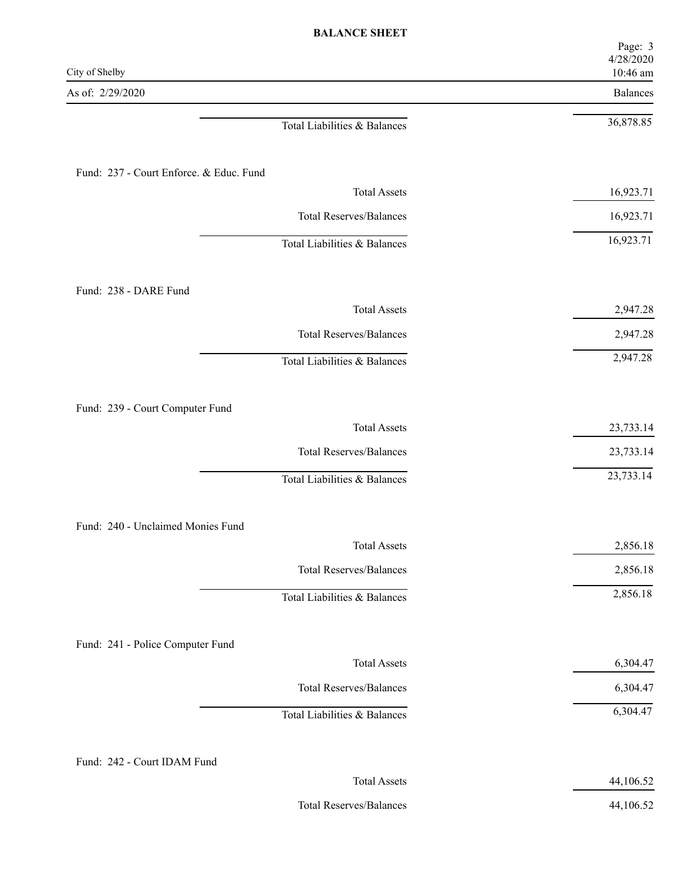| City of Shelby                          | Page: 3<br>4/28/2020<br>10:46 am |
|-----------------------------------------|----------------------------------|
| As of: 2/29/2020                        | Balances                         |
| Total Liabilities & Balances            | 36,878.85                        |
| Fund: 237 - Court Enforce. & Educ. Fund |                                  |
| <b>Total Assets</b>                     | 16,923.71                        |
| <b>Total Reserves/Balances</b>          | 16,923.71                        |
| Total Liabilities & Balances            | 16,923.71                        |
| Fund: 238 - DARE Fund                   |                                  |
| <b>Total Assets</b>                     | 2,947.28                         |
| <b>Total Reserves/Balances</b>          | 2,947.28                         |
| Total Liabilities & Balances            | 2,947.28                         |
| Fund: 239 - Court Computer Fund         |                                  |
| <b>Total Assets</b>                     | 23,733.14                        |
| <b>Total Reserves/Balances</b>          | 23,733.14                        |
| Total Liabilities & Balances            | 23,733.14                        |
| Fund: 240 - Unclaimed Monies Fund       |                                  |
| <b>Total Assets</b>                     | 2,856.18                         |
| <b>Total Reserves/Balances</b>          | 2,856.18                         |
| Total Liabilities & Balances            | 2,856.18                         |
| Fund: 241 - Police Computer Fund        |                                  |
| <b>Total Assets</b>                     | 6,304.47                         |
| <b>Total Reserves/Balances</b>          | 6,304.47                         |
| Total Liabilities & Balances            | 6,304.47                         |
| Fund: 242 - Court IDAM Fund             |                                  |
| <b>Total Assets</b>                     | 44,106.52                        |

Total Reserves/Balances 44,106.52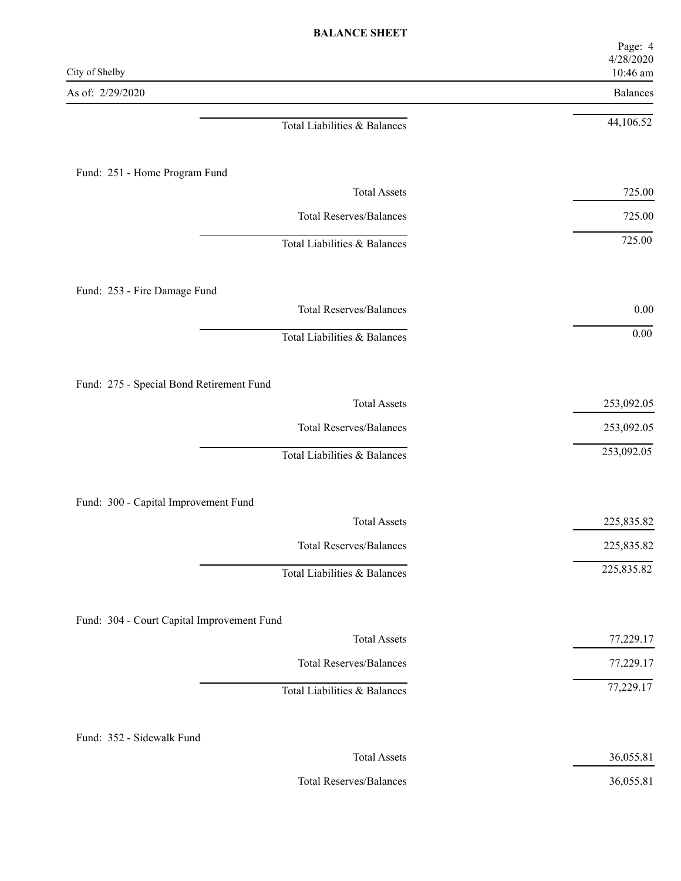| City of Shelby                             | Page: 4<br>4/28/2020<br>10:46 am |
|--------------------------------------------|----------------------------------|
| As of: 2/29/2020                           | Balances                         |
| Total Liabilities & Balances               | 44,106.52                        |
| Fund: 251 - Home Program Fund              |                                  |
| <b>Total Assets</b>                        | 725.00                           |
| <b>Total Reserves/Balances</b>             | 725.00                           |
| Total Liabilities & Balances               | 725.00                           |
| Fund: 253 - Fire Damage Fund               |                                  |
| <b>Total Reserves/Balances</b>             | $0.00\,$                         |
| Total Liabilities & Balances               | $0.00\,$                         |
| Fund: 275 - Special Bond Retirement Fund   |                                  |
| <b>Total Assets</b>                        | 253,092.05                       |
| <b>Total Reserves/Balances</b>             | 253,092.05                       |
| Total Liabilities & Balances               | 253,092.05                       |
| Fund: 300 - Capital Improvement Fund       |                                  |
| <b>Total Assets</b>                        | 225,835.82                       |
| <b>Total Reserves/Balances</b>             | 225,835.82                       |
| Total Liabilities & Balances               | 225,835.82                       |
| Fund: 304 - Court Capital Improvement Fund |                                  |
| <b>Total Assets</b>                        | 77,229.17                        |
| <b>Total Reserves/Balances</b>             | 77,229.17                        |
| Total Liabilities & Balances               | 77,229.17                        |
| Fund: 352 - Sidewalk Fund                  |                                  |
| <b>Total Assets</b>                        | 36,055.81                        |
| <b>Total Reserves/Balances</b>             | 36,055.81                        |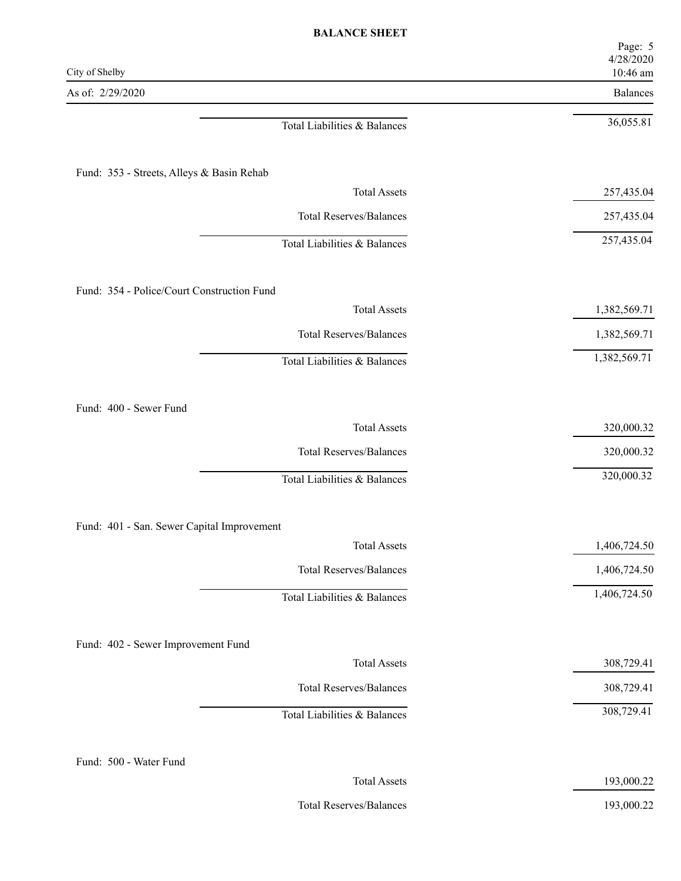| City of Shelby                             | Page: 5<br>4/28/2020<br>10:46 am |
|--------------------------------------------|----------------------------------|
| As of: 2/29/2020                           | Balances                         |
| Total Liabilities & Balances               | 36,055.81                        |
| Fund: 353 - Streets, Alleys & Basin Rehab  |                                  |
| <b>Total Assets</b>                        | 257,435.04                       |
| <b>Total Reserves/Balances</b>             | 257,435.04                       |
| Total Liabilities & Balances               | 257,435.04                       |
| Fund: 354 - Police/Court Construction Fund |                                  |
| <b>Total Assets</b>                        | 1,382,569.71                     |
| <b>Total Reserves/Balances</b>             | 1,382,569.71                     |
| Total Liabilities & Balances               | 1,382,569.71                     |
| Fund: 400 - Sewer Fund                     |                                  |
| <b>Total Assets</b>                        | 320,000.32                       |
| <b>Total Reserves/Balances</b>             | 320,000.32                       |
| Total Liabilities & Balances               | 320,000.32                       |
| Fund: 401 - San. Sewer Capital Improvement |                                  |
| <b>Total Assets</b>                        | 1,406,724.50                     |
| <b>Total Reserves/Balances</b>             | 1,406,724.50                     |
| Total Liabilities & Balances               | 1,406,724.50                     |
| Fund: 402 - Sewer Improvement Fund         |                                  |
| <b>Total Assets</b>                        | 308,729.41                       |
| <b>Total Reserves/Balances</b>             | 308,729.41                       |
| Total Liabilities & Balances               | 308,729.41                       |
| Fund: 500 - Water Fund                     |                                  |
| <b>Total Assets</b>                        | 193,000.22                       |
|                                            |                                  |

Total Reserves/Balances 193,000.22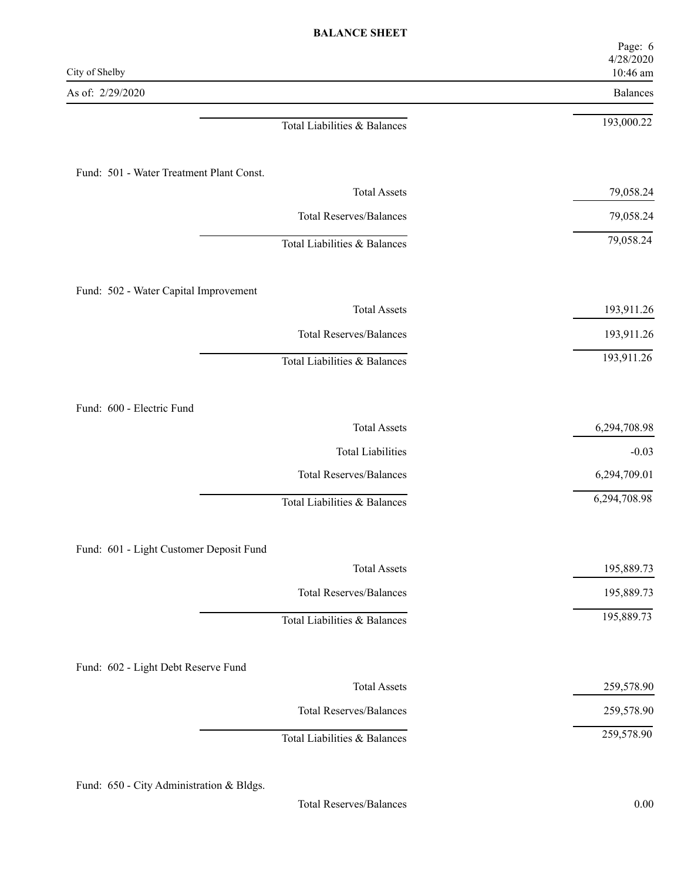| 4/28/2020<br>10:46 am |
|-----------------------|
| Balances              |
| 193,000.22            |
|                       |
| 79,058.24             |
| 79,058.24             |
| 79,058.24             |
|                       |
| 193,911.26            |
| 193,911.26            |
| 193,911.26            |
|                       |
| 6,294,708.98          |
| $-0.03$               |
| 6,294,709.01          |
| 6,294,708.98          |
|                       |
| 195,889.73            |
| 195,889.73            |
| 195,889.73            |
|                       |
| 259,578.90            |
| 259,578.90            |
| 259,578.90            |
|                       |

Fund: 650 - City Administration & Bldgs.

Total Reserves/Balances 0.00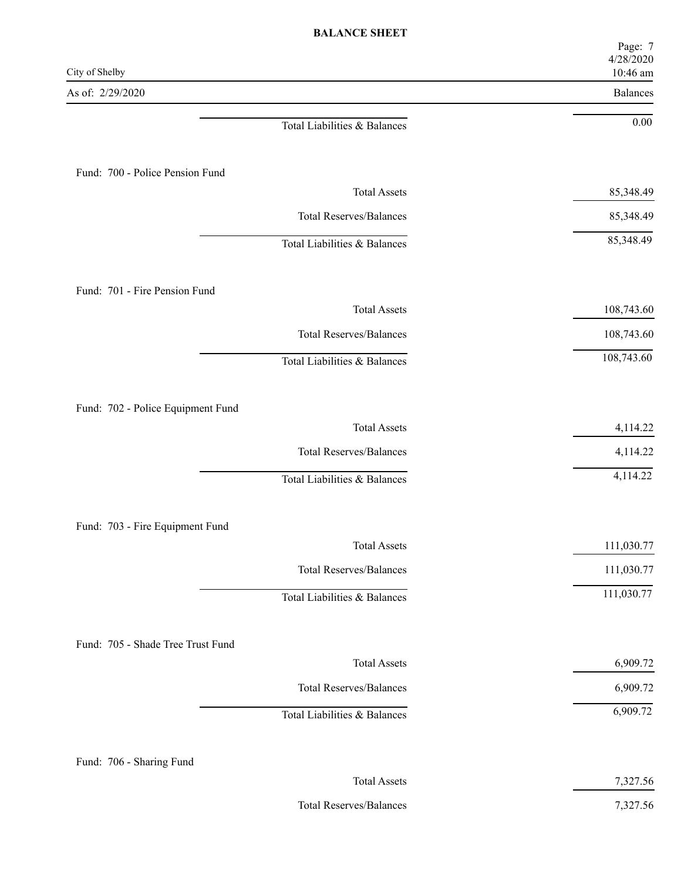| City of Shelby                    | Page: 7<br>4/28/2020<br>10:46 am |
|-----------------------------------|----------------------------------|
| As of: 2/29/2020                  | Balances                         |
| Total Liabilities & Balances      | $0.00\,$                         |
| Fund: 700 - Police Pension Fund   |                                  |
| <b>Total Assets</b>               | 85,348.49                        |
| <b>Total Reserves/Balances</b>    | 85,348.49                        |
| Total Liabilities & Balances      | 85,348.49                        |
| Fund: 701 - Fire Pension Fund     |                                  |
| <b>Total Assets</b>               | 108,743.60                       |
| <b>Total Reserves/Balances</b>    | 108,743.60                       |
| Total Liabilities & Balances      | 108,743.60                       |
| Fund: 702 - Police Equipment Fund |                                  |
| <b>Total Assets</b>               | 4,114.22                         |
| <b>Total Reserves/Balances</b>    | 4,114.22                         |
| Total Liabilities & Balances      | 4,114.22                         |
| Fund: 703 - Fire Equipment Fund   |                                  |
| <b>Total Assets</b>               | 111,030.77                       |
| <b>Total Reserves/Balances</b>    | 111,030.77                       |
| Total Liabilities & Balances      | 111,030.77                       |
| Fund: 705 - Shade Tree Trust Fund |                                  |
| <b>Total Assets</b>               | 6,909.72                         |
| <b>Total Reserves/Balances</b>    | 6,909.72                         |
| Total Liabilities & Balances      | 6,909.72                         |
| Fund: 706 - Sharing Fund          |                                  |
| <b>Total Assets</b>               | 7,327.56                         |

Total Reserves/Balances 7,327.56